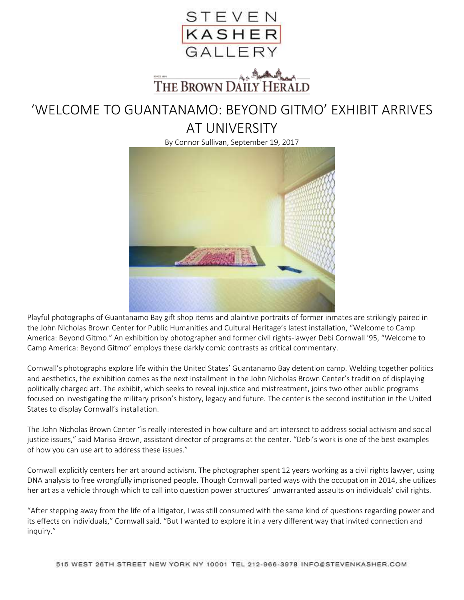

## THE BROWN DAILY HERALD

## 'WELCOME TO GUANTANAMO: BEYOND GITMO' EXHIBIT ARRIVES AT UNIVERSITY

By Connor Sullivan, September 19, 2017



Playful photographs of Guantanamo Bay gift shop items and plaintive portraits of former inmates are strikingly paired in the John Nicholas Brown Center for Public Humanities and Cultural Heritage's latest installation, "Welcome to Camp America: Beyond Gitmo." An exhibition by photographer and former civil rights-lawyer Debi Cornwall '95, "Welcome to Camp America: Beyond Gitmo" employs these darkly comic contrasts as critical commentary.

Cornwall's photographs explore life within the United States' Guantanamo Bay detention camp. Welding together politics and aesthetics, the exhibition comes as the next installment in the John Nicholas Brown Center's tradition of displaying politically charged art. The exhibit, which seeks to reveal injustice and mistreatment, joins two other public programs focused on investigating the military prison's history, legacy and future. The center is the second institution in the United States to display Cornwall's installation.

The John Nicholas Brown Center "is really interested in how culture and art intersect to address social activism and social justice issues," said Marisa Brown, assistant director of programs at the center. "Debi's work is one of the best examples of how you can use art to address these issues."

Cornwall explicitly centers her art around activism. The photographer spent 12 years working as a civil rights lawyer, using DNA analysis to free wrongfully imprisoned people. Though Cornwall parted ways with the occupation in 2014, she utilizes her art as a vehicle through which to call into question power structures' unwarranted assaults on individuals' civil rights.

"After stepping away from the life of a litigator, I was still consumed with the same kind of questions regarding power and its effects on individuals," Cornwall said. "But I wanted to explore it in a very different way that invited connection and inquiry."